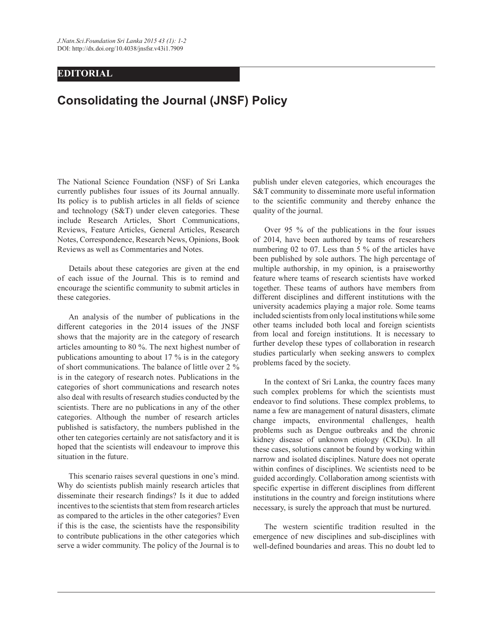## **EDITORIAL**

## **Consolidating the Journal (JNSF) Policy**

The National Science Foundation (NSF) of Sri Lanka currently publishes four issues of its Journal annually. Its policy is to publish articles in all fields of science and technology (S&T) under eleven categories. These include Research Articles, Short Communications, Reviews, Feature Articles, General Articles, Research Notes, Correspondence, Research News, Opinions, Book Reviews as well as Commentaries and Notes.

 Details about these categories are given at the end of each issue of the Journal. This is to remind and encourage the scientific community to submit articles in these categories.

 An analysis of the number of publications in the different categories in the 2014 issues of the JNSF shows that the majority are in the category of research articles amounting to 80 %. The next highest number of publications amounting to about 17 % is in the category of short communications. The balance of little over 2 % is in the category of research notes. Publications in the categories of short communications and research notes also deal with results of research studies conducted by the scientists. There are no publications in any of the other categories. Although the number of research articles published is satisfactory, the numbers published in the other ten categories certainly are not satisfactory and it is hoped that the scientists will endeavour to improve this situation in the future.

 This scenario raises several questions in one's mind. Why do scientists publish mainly research articles that disseminate their research findings? Is it due to added incentives to the scientists that stem from research articles as compared to the articles in the other categories? Even if this is the case, the scientists have the responsibility to contribute publications in the other categories which serve a wider community. The policy of the Journal is to

publish under eleven categories, which encourages the S&T community to disseminate more useful information to the scientific community and thereby enhance the quality of the journal.

 Over 95 % of the publications in the four issues of 2014, have been authored by teams of researchers numbering 02 to 07. Less than 5 % of the articles have been published by sole authors. The high percentage of multiple authorship, in my opinion, is a praiseworthy feature where teams of research scientists have worked together. These teams of authors have members from different disciplines and different institutions with the university academics playing a major role. Some teams included scientists from only local institutions while some other teams included both local and foreign scientists from local and foreign institutions. It is necessary to further develop these types of collaboration in research studies particularly when seeking answers to complex problems faced by the society.

 In the context of Sri Lanka, the country faces many such complex problems for which the scientists must endeavor to find solutions. These complex problems, to name a few are management of natural disasters, climate change impacts, environmental challenges, health problems such as Dengue outbreaks and the chronic kidney disease of unknown etiology (CKDu). In all these cases, solutions cannot be found by working within narrow and isolated disciplines. Nature does not operate within confines of disciplines. We scientists need to be guided accordingly. Collaboration among scientists with specific expertise in different disciplines from different institutions in the country and foreign institutions where necessary, is surely the approach that must be nurtured.

 The western scientific tradition resulted in the emergence of new disciplines and sub-disciplines with well-defined boundaries and areas. This no doubt led to